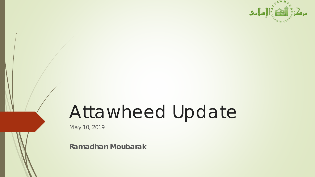

# Attawheed Update

May 10, 2019

**Ramadhan Moubarak**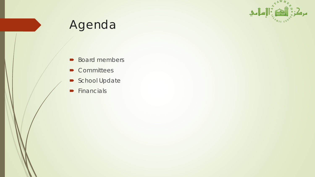

# Agenda

- **Board members**
- Committees
- School Update
- $\blacktriangleright$  Financials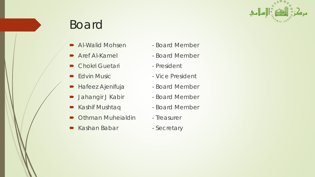

# Board

- Al-Walid Mohsen Board Member
- 
- Chokri Guetari President
- 
- Hafeez Ajenifuja → Board Member
- **Jahangir J Kabir Board Member**
- Kashif Mushtaq  **Board Member**
- Othman Muheialdin Treasurer
- Kashan Babar Secretary
- 
- Aref Al-Kamel Board Member
	-
- Edvin Music  **Vice President** 
	-
	-
	-
	-
	-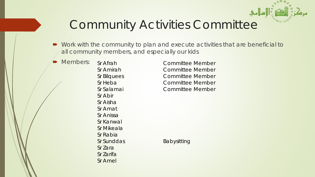

# Community Activities Committee

- Work with the community to plan and execute activities that are beneficial to all community members, and especially our kids
	- Members: Sr Afrah Committee Member

Sr Abir Sr Aisha Sr Amat Sr Anissa Sr Kanwal Sr Mikeala Sr Rabia Sr Sunddas Babysitting Sr Zara Sr Zarifa Sr Amel

Sr Amirah Committee Member Sr Bilquees Committee Member Sr Heba Committee Member Sr Salamai Committee Member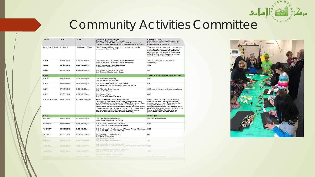# Community Activities Committee

|  | <sub>i</sub> onth          | Date              | Time           | Group w/ Activity Namee<br>Group 1: Babysitting 5 year olds<br>Group 2: 6-7 (G2) "tend to have 6 kids per week<br>Group 3: 8-11 year olds (G3) "tend to have 15 kids                                                                                                                                                                                                                                    | Details/Budget<br>(We plan to build supplies only for<br>'Friday 4 Kids' not to use sun/sat<br>school office supplies.)                                                                                                                                                                          |  |
|--|----------------------------|-------------------|----------------|---------------------------------------------------------------------------------------------------------------------------------------------------------------------------------------------------------------------------------------------------------------------------------------------------------------------------------------------------------------------------------------------------------|--------------------------------------------------------------------------------------------------------------------------------------------------------------------------------------------------------------------------------------------------------------------------------------------------|--|
|  | June (1st & 2nd) 6/1/2019  |                   | 10:00am-4:00pm | Eid Bazaar, 50% of table reservation proceeds<br>towards kids activities?                                                                                                                                                                                                                                                                                                                               | Two-day event, sold in the basement,<br>open garage door like garage sale.<br>Masjid makes money by charging<br>retailers \$10 per table. If they can't<br>afford it, they can discuss a waiver<br>with Ramadan Committee.                                                                       |  |
|  | <b>JUNE</b>                | 06/14/2019        | 9:30-10:30pm   | G2: Jazak Allah kharian Thank You cards<br>G3: Jazak Allah kharian Thank You cards                                                                                                                                                                                                                                                                                                                      | \$20, for 3D stickers and nice<br>stationary                                                                                                                                                                                                                                                     |  |
|  | <b>JUNE</b>                | 06/21/2019        | 9:30-10:30pm   | G2:Pretend It's Real Scenarios<br>G3:Bracelets/Keychains                                                                                                                                                                                                                                                                                                                                                | <b>S10</b>                                                                                                                                                                                                                                                                                       |  |
|  | <b>JUNE</b>                | 06/28/2019        | 9:30-10:30pm   | G2: Design Your Prayer Rug<br>G3: Build a Masjid from Boxes                                                                                                                                                                                                                                                                                                                                             | S5                                                                                                                                                                                                                                                                                               |  |
|  | <b>JUNE</b>                |                   |                |                                                                                                                                                                                                                                                                                                                                                                                                         | Total: \$35 - earnings from bazaar                                                                                                                                                                                                                                                               |  |
|  | <b>JULY</b>                | 07/05/2019        | 9:30-10:30pm   | G2: Pinwheel Making<br>G3: Bird Feeder Making                                                                                                                                                                                                                                                                                                                                                           | <b>S3D</b>                                                                                                                                                                                                                                                                                       |  |
|  | JULY                       | 07/12/2019        | 9:30-10:30pm   | G2: Name the Animals Like Adam<br>G3: Fill Balloons with drawn 'gifts' for Mom                                                                                                                                                                                                                                                                                                                          | S5                                                                                                                                                                                                                                                                                               |  |
|  | <b>JULY</b>                | 07/19/2019        | 9:00-10:00pm   | G2: Monster Bookmarks<br><b>G3: Perier Beeds</b>                                                                                                                                                                                                                                                                                                                                                        | \$30 mainly for perler bead templates                                                                                                                                                                                                                                                            |  |
|  | <b>JULY</b>                | 07/26/2019        | 9:00-10:00pm   | G2: Paper Tulip<br>G3: Pots of Paper Flowers                                                                                                                                                                                                                                                                                                                                                            | <b>S15</b>                                                                                                                                                                                                                                                                                       |  |
|  | JULY (26-Aug11) 07/26/2019 |                   | 4:00pm-Magrib  | Sunday School Office Rennovation<br>(refinishing the walls to remove possible led paint<br>and chipping plaster is a must. New Carpet needed.<br>This room is a health hazard. Secondary to<br>refinishing, new organiztion is needed to store more<br>supplies and have better areas to sit and work which<br>can be accomplished through the additon and<br>removal of furniture and closed shelving) | More details to come later. Timing<br>starts after summer camp before<br>sunday school year. Two weeks to<br>complete. Money needed for<br>drywall/paint/carpet. Volunteers lead<br>by Mikaela (might teach female teens<br>hand skills). New furniture to be<br>purchased used or free at best. |  |
|  | <b>JULY</b>                |                   |                |                                                                                                                                                                                                                                                                                                                                                                                                         | Total: \$80                                                                                                                                                                                                                                                                                      |  |
|  | <b>AUGUST</b>              | 08/02/2019        | 9:00-10:00pm   | G2: Old Key Windchimes<br>G3:Hafsa Says/ Simon Says                                                                                                                                                                                                                                                                                                                                                     | \$20 for windchimes                                                                                                                                                                                                                                                                              |  |
|  | <b>AUGUST</b>              | 08/09/2019        | 9:00-10:00pm   | G2: Recycled Can Wind Socks<br>G3: Cooperative Standup Popcorn                                                                                                                                                                                                                                                                                                                                          | <b>S10</b>                                                                                                                                                                                                                                                                                       |  |
|  | <b>AUGUST</b>              | 08/16/2019        | 9:00-10:00pm   | G2: Clothespin Airplanes and Tissue Paper Rainbows \$20<br>G3: Garbage Ball Balloon Bop                                                                                                                                                                                                                                                                                                                 |                                                                                                                                                                                                                                                                                                  |  |
|  | <b>AUGUST</b>              | 08/23/2019        | 9:00-10:00pm   | <b>G2: Bird Seed Ornaments</b><br>G3:Quiet Olympics                                                                                                                                                                                                                                                                                                                                                     | S5                                                                                                                                                                                                                                                                                               |  |
|  | <b>MUGUST</b>              | 08\53\5018        | 9:00-10:00pm   | G3:Quiet Olympics<br>G2: Bird Seed Omaments                                                                                                                                                                                                                                                                                                                                                             | 20                                                                                                                                                                                                                                                                                               |  |
|  |                            |                   |                |                                                                                                                                                                                                                                                                                                                                                                                                         |                                                                                                                                                                                                                                                                                                  |  |
|  | vnonai                     | 08\10\5018        | 0:00-10:00bw   | G3: Garbage Ball Balloon Bop<br>G2: Glothespin Airplanes and Tissue Paper Rainbows \$20                                                                                                                                                                                                                                                                                                                 |                                                                                                                                                                                                                                                                                                  |  |
|  | vnonai                     | 08\08\5018        | wdon-10.00pm   | G3: Cooperative Standup Popcom<br>G2: Recycled Can Wind Socks                                                                                                                                                                                                                                                                                                                                           | 2.10                                                                                                                                                                                                                                                                                             |  |
|  | vnona:                     | <b>ORIOTITOJA</b> | 500-1000bw     | G3:Hafsa Says/ Simon Says<br>EBRUINDDUNG ARM DICT 750                                                                                                                                                                                                                                                                                                                                                   | <b>SAULTON WINGSTONER</b>                                                                                                                                                                                                                                                                        |  |
|  |                            |                   |                |                                                                                                                                                                                                                                                                                                                                                                                                         |                                                                                                                                                                                                                                                                                                  |  |



إسلامي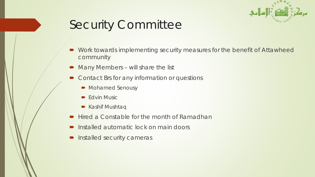

# Security Committee

- Work towards implementing security measures for the benefit of Attawheed community
- Many Members will share the list
- Contact Brs for any information or questions
	- Mohamed Senousy
	- $\blacktriangleright$  Edvin Music
	- **Kashif Mushtaq**
- Hired a Constable for the month of Ramadhan
- Installed automatic lock on main doors
- Installed security cameras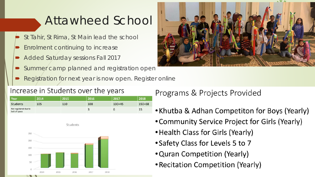### Attawheed School

- St Tahir, St Rima, St Main lead the school
- Enrolment continuing to increase
- Added Saturday sessions Fall 2017
- Summer camp planned and registration open
- Registration for next year is now open. Register online

#### Increase in Students over the years

| Year                                   | 2014 | 2015 | 2016 | 2017     | 2018   |
|----------------------------------------|------|------|------|----------|--------|
| <b>Students</b>                        | 105  | 110  | 108  | $130+45$ | 150+68 |
| Not registered due to<br>lack of space |      |      |      | O        | 15     |



#### Programs & Projects Provided

- Khutba & Adhan Competiton for Boys (Yearly)
- Community Service Project for Girls (Yearly)
- Health Class for Girls (Yearly)
- Safety Class for Levels 5 to 7
- Quran Competition (Yearly)
- Recitation Competition (Yearly)

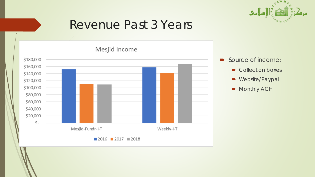

### Revenue Past 3 Years

Mesjid Income



- Source of income:
	- Collection boxes
	- **•** Website/Paypal
	- Monthly ACH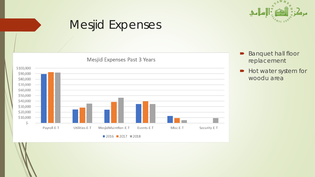

### Mesjid Expenses



- **Banquet hall floor** replacement
- Hot water system for woodu area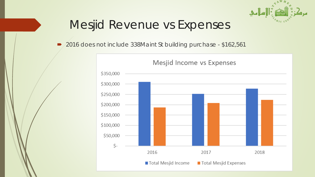

# Mesjid Revenue vs Expenses

2016 does not include 338Maint St building purchase - \$162,561

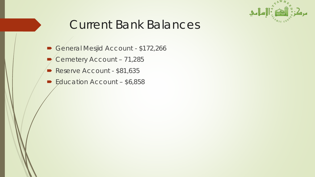

# Current Bank Balances

- General Mesjid Account \$172,266
- Cemetery Account 71,285
- Reserve Account \$81,635
- Education Account \$6,858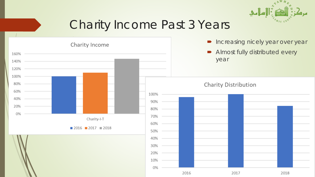

# Charity Income Past 3 Years

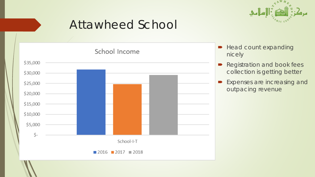

### Attawheed School

School Income



- **Head count expanding** nicely
- Registration and book fees collection is getting better
- **Expenses are increasing and** outpacing revenue